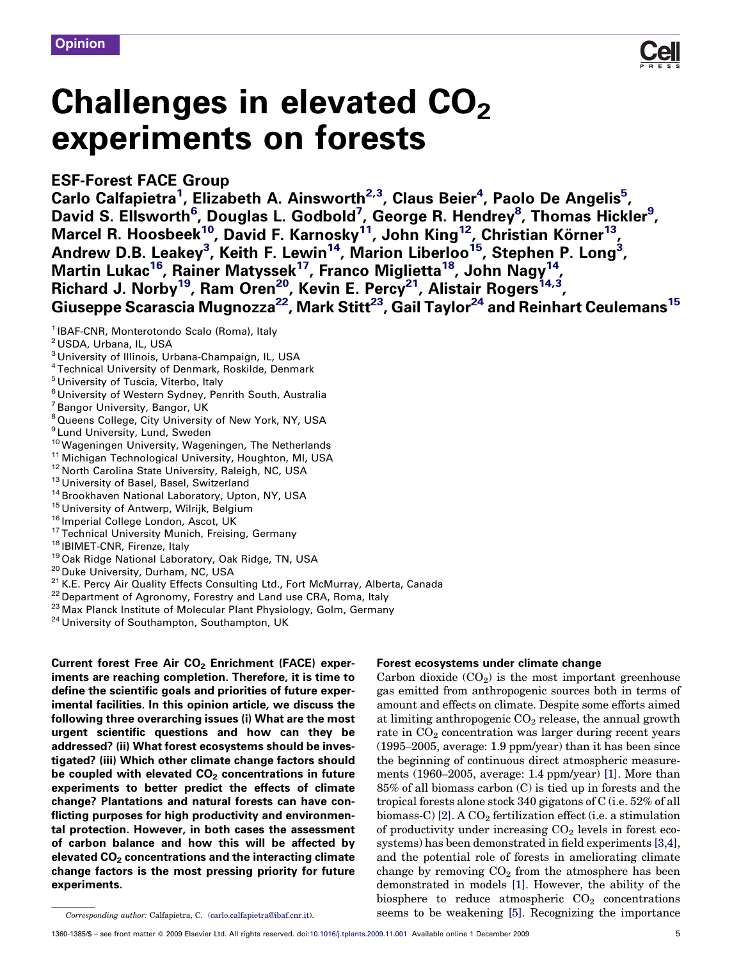**Opinion** 

# Challenges in elevated  $CO<sub>2</sub>$ experiments on forests

## ESF-Forest FACE Group

Carlo Calfapietra<sup>1</sup>, Elizabeth A. Ainsworth<sup>2,3</sup>, Claus Beier<sup>4</sup>, Paolo De Angelis<sup>5</sup>, David S. Ellsworth<sup>6</sup>, Douglas L. Godbold<sup>7</sup>, George R. Hendrey<sup>8</sup>, Thomas Hickler<sup>9</sup>, Marcel R. Hoosbeek $^{10}$ , David F. Karnosky $^{11}$ , John King $^{12}$ , Christian Körner $^{13}$ , Andrew D.B. Leakey<sup>3</sup>, Keith F. Lewin<sup>14</sup>, Marion Liberloo<sup>15</sup>, Stephen P. Long<sup>3</sup>, Martin Lukac<sup>16</sup>, Rainer Matyssek<sup>17</sup>, Franco Miglietta<sup>18</sup>, John Nagy<sup>14</sup>, Richard J. Norby<sup>19</sup>, Ram Oren<sup>20</sup>, Kevin E. Percy<sup>21</sup>, Alistair Rogers<sup>14,3</sup>, Giuseppe Scarascia Mugnozza $^{22}$ , Mark Stitt $^{23}$ , Gail Taylor $^{24}$  and Reinhart Ceulemans $^{15}$ 

- <sup>3</sup> University of Illinois, Urbana-Champaign, IL, USA
- <sup>4</sup> Technical University of Denmark, Roskilde, Denmark
- <sup>5</sup> University of Tuscia, Viterbo, Italy
- <sup>6</sup> University of Western Sydney, Penrith South, Australia
- <sup>7</sup> Bangor University, Bangor, UK
- <sup>8</sup> Queens College, City University of New York, NY, USA
- 
- <sup>9</sup> Lund University, Lund, Sweden<br><sup>10</sup> Wageningen University, Wageningen, The Netherlands
- 
- 
- 
- 
- 
- 
- 
- 
- 
- 
- <sup>10</sup> Wageningen University, Wageningen, The Netherlands<br><sup>11</sup> Michigan Technological University, Houghton, MI, USA<br><sup>12</sup> North Carolina State University, Raleigh, NC, USA<br><sup>13</sup> University of Basel, Basel, Switzerland<br><sup>14</sup> Bro
- 
- 
- 

Current forest Free Air CO<sub>2</sub> Enrichment (FACE) experiments are reaching completion. Therefore, it is time to define the scientific goals and priorities of future experimental facilities. In this opinion article, we discuss the following three overarching issues (i) What are the most urgent scientific questions and how can they be addressed? (ii) What forest ecosystems should be investigated? (iii) Which other climate change factors should be coupled with elevated  $CO<sub>2</sub>$  concentrations in future experiments to better predict the effects of climate change? Plantations and natural forests can have conflicting purposes for high productivity and environmental protection. However, in both cases the assessment of carbon balance and how this will be affected by elevated  $CO<sub>2</sub>$  concentrations and the interacting climate change factors is the most pressing priority for future experiments.

## Forest ecosystems under climate change

Carbon dioxide  $(CO_2)$  is the most important greenhouse gas emitted from anthropogenic sources both in terms of amount and effects on climate. Despite some efforts aimed at limiting anthropogenic  $CO<sub>2</sub>$  release, the annual growth rate in  $CO<sub>2</sub>$  concentration was larger during recent years (1995–2005, average: 1.9 ppm/year) than it has been since the beginning of continuous direct atmospheric measurements (1960–2005, average: 1.4 ppm/year) [\[1\].](#page-4-0) More than 85% of all biomass carbon (C) is tied up in forests and the tropical forests alone stock 340 gigatons of C (i.e. 52% of all biomass-C) [\[2\]](#page-4-0). A  $CO<sub>2</sub>$  fertilization effect (i.e. a stimulation of productivity under increasing  $CO<sub>2</sub>$  levels in forest ecosystems) has been demonstrated in field experiments [\[3,4\]](#page-4-0), and the potential role of forests in ameliorating climate change by removing  $CO<sub>2</sub>$  from the atmosphere has been demonstrated in models [\[1\]](#page-4-0). However, the ability of the biosphere to reduce atmospheric  $CO<sub>2</sub>$  concentrations seems to be weakening [\[5\].](#page-4-0) Recognizing the importance



<sup>&</sup>lt;sup>1</sup> IBAF-CNR, Monterotondo Scalo (Roma), Italy

<sup>2</sup> USDA, Urbana, IL, USA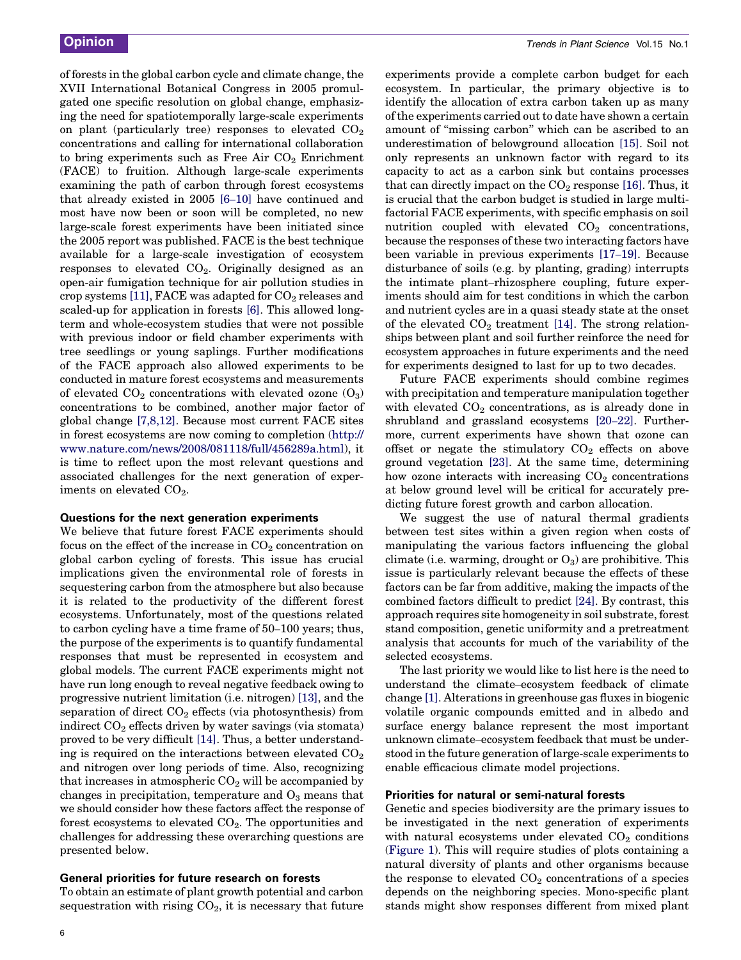of forests in the global carbon cycle and climate change, the XVII International Botanical Congress in 2005 promulgated one specific resolution on global change, emphasizing the need for spatiotemporally large-scale experiments on plant (particularly tree) responses to elevated  $CO<sub>2</sub>$ concentrations and calling for international collaboration to bring experiments such as Free Air  $CO<sub>2</sub>$  Enrichment (FACE) to fruition. Although large-scale experiments examining the path of carbon through forest ecosystems that already existed in 2005 [6–[10\]](#page-4-0) have continued and most have now been or soon will be completed, no new large-scale forest experiments have been initiated since the 2005 report was published. FACE is the best technique available for a large-scale investigation of ecosystem responses to elevated  $CO<sub>2</sub>$ . Originally designed as an open-air fumigation technique for air pollution studies in crop systems [\[11\],](#page-5-0) FACE was adapted for  $CO<sub>2</sub>$  releases and scaled-up for application in forests [\[6\].](#page-4-0) This allowed longterm and whole-ecosystem studies that were not possible with previous indoor or field chamber experiments with tree seedlings or young saplings. Further modifications of the FACE approach also allowed experiments to be conducted in mature forest ecosystems and measurements of elevated  $CO_2$  concentrations with elevated ozone  $(O_3)$ concentrations to be combined, another major factor of global change [\[7,8,12\]](#page-5-0). Because most current FACE sites in forest ecosystems are now coming to completion ([http://](http://www.nature.com/news/2008/081118/full/456289a.html) [www.nature.com/news/2008/081118/full/456289a.html\)](http://www.nature.com/news/2008/081118/full/456289a.html), it is time to reflect upon the most relevant questions and associated challenges for the next generation of experiments on elevated  $CO<sub>2</sub>$ .

#### Questions for the next generation experiments

We believe that future forest FACE experiments should focus on the effect of the increase in  $CO<sub>2</sub>$  concentration on global carbon cycling of forests. This issue has crucial implications given the environmental role of forests in sequestering carbon from the atmosphere but also because it is related to the productivity of the different forest ecosystems. Unfortunately, most of the questions related to carbon cycling have a time frame of 50–100 years; thus, the purpose of the experiments is to quantify fundamental responses that must be represented in ecosystem and global models. The current FACE experiments might not have run long enough to reveal negative feedback owing to progressive nutrient limitation (i.e. nitrogen) [\[13\],](#page-5-0) and the separation of direct  $CO<sub>2</sub>$  effects (via photosynthesis) from indirect  $CO<sub>2</sub>$  effects driven by water savings (via stomata) proved to be very difficult [\[14\].](#page-5-0) Thus, a better understanding is required on the interactions between elevated  $CO<sub>2</sub>$ and nitrogen over long periods of time. Also, recognizing that increases in atmospheric  $CO<sub>2</sub>$  will be accompanied by changes in precipitation, temperature and  $O<sub>3</sub>$  means that we should consider how these factors affect the response of forest ecosystems to elevated  $CO<sub>2</sub>$ . The opportunities and challenges for addressing these overarching questions are presented below.

#### General priorities for future research on forests

To obtain an estimate of plant growth potential and carbon sequestration with rising  $CO<sub>2</sub>$ , it is necessary that future experiments provide a complete carbon budget for each ecosystem. In particular, the primary objective is to identify the allocation of extra carbon taken up as many of the experiments carried out to date have shown a certain amount of ''missing carbon'' which can be ascribed to an underestimation of belowground allocation [\[15\].](#page-5-0) Soil not only represents an unknown factor with regard to its capacity to act as a carbon sink but contains processes that can directly impact on the  $CO<sub>2</sub>$  response [\[16\]](#page-5-0). Thus, it is crucial that the carbon budget is studied in large multifactorial FACE experiments, with specific emphasis on soil nutrition coupled with elevated  $CO<sub>2</sub>$  concentrations, because the responses of these two interacting factors have been variable in previous experiments [\[17](#page-5-0)–19]. Because disturbance of soils (e.g. by planting, grading) interrupts the intimate plant–rhizosphere coupling, future experiments should aim for test conditions in which the carbon and nutrient cycles are in a quasi steady state at the onset of the elevated  $CO<sub>2</sub>$  treatment [\[14\]](#page-5-0). The strong relationships between plant and soil further reinforce the need for ecosystem approaches in future experiments and the need for experiments designed to last for up to two decades.

Future FACE experiments should combine regimes with precipitation and temperature manipulation together with elevated  $CO<sub>2</sub>$  concentrations, as is already done in shrubland and grassland ecosystems [\[20](#page-5-0)–22]. Furthermore, current experiments have shown that ozone can offset or negate the stimulatory  $CO<sub>2</sub>$  effects on above ground vegetation [\[23\].](#page-5-0) At the same time, determining how ozone interacts with increasing  $CO<sub>2</sub>$  concentrations at below ground level will be critical for accurately predicting future forest growth and carbon allocation.

We suggest the use of natural thermal gradients between test sites within a given region when costs of manipulating the various factors influencing the global climate (i.e. warming, drought or  $O_3$ ) are prohibitive. This issue is particularly relevant because the effects of these factors can be far from additive, making the impacts of the combined factors difficult to predict [\[24\]](#page-5-0). By contrast, this approach requires site homogeneity in soil substrate, forest stand composition, genetic uniformity and a pretreatment analysis that accounts for much of the variability of the selected ecosystems.

The last priority we would like to list here is the need to understand the climate–ecosystem feedback of climate change [\[1\]](#page-4-0). Alterations in greenhouse gas fluxes in biogenic volatile organic compounds emitted and in albedo and surface energy balance represent the most important unknown climate–ecosystem feedback that must be understood in the future generation of large-scale experiments to enable efficacious climate model projections.

#### Priorities for natural or semi-natural forests

Genetic and species biodiversity are the primary issues to be investigated in the next generation of experiments with natural ecosystems under elevated  $CO<sub>2</sub>$  conditions ([Figure 1](#page-2-0)). This will require studies of plots containing a natural diversity of plants and other organisms because the response to elevated  $CO<sub>2</sub>$  concentrations of a species depends on the neighboring species. Mono-specific plant stands might show responses different from mixed plant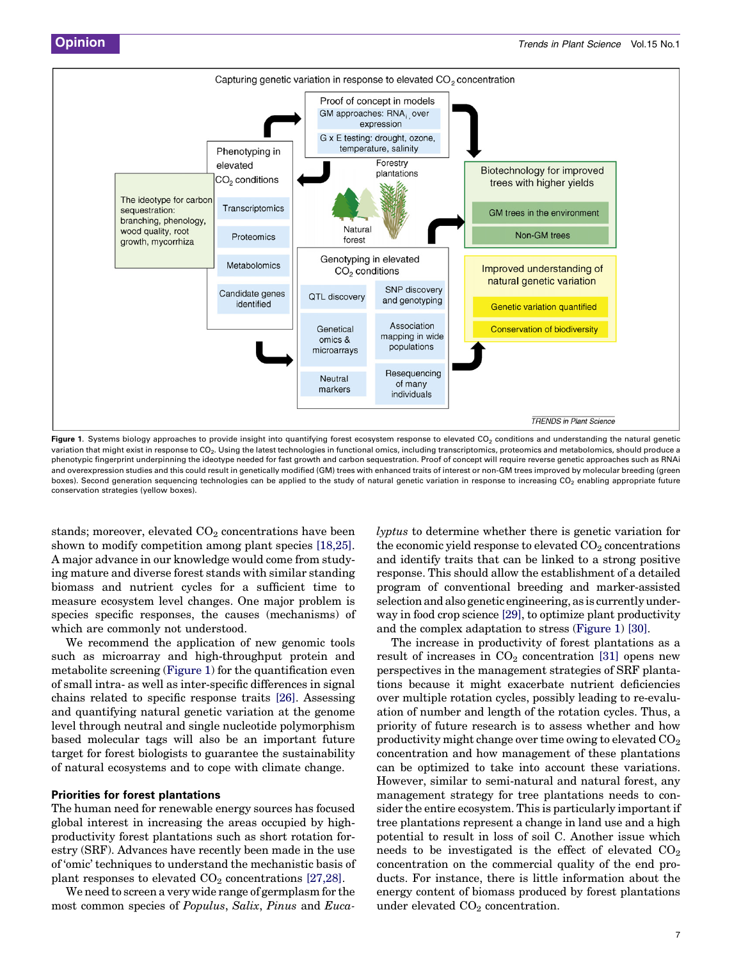<span id="page-2-0"></span>

Figure 1. Systems biology approaches to provide insight into quantifying forest ecosystem response to elevated CO<sub>2</sub> conditions and understanding the natural genetic variation that might exist in response to CO<sub>2</sub>. Using the latest technologies in functional omics, including transcriptomics, proteomics and metabolomics, should produce a phenotypic fingerprint underpinning the ideotype needed for fast growth and carbon sequestration. Proof of concept will require reverse genetic approaches such as RNAi and overexpression studies and this could result in genetically modified (GM) trees with enhanced traits of interest or non-GM trees improved by molecular breeding (green boxes). Second generation sequencing technologies can be applied to the study of natural genetic variation in response to increasing  $CO<sub>2</sub>$  enabling appropriate future conservation strategies (yellow boxes).

stands; moreover, elevated  $CO<sub>2</sub>$  concentrations have been shown to modify competition among plant species [\[18,25\]](#page-5-0). A major advance in our knowledge would come from studying mature and diverse forest stands with similar standing biomass and nutrient cycles for a sufficient time to measure ecosystem level changes. One major problem is species specific responses, the causes (mechanisms) of which are commonly not understood.

We recommend the application of new genomic tools such as microarray and high-throughput protein and metabolite screening (Figure 1) for the quantification even of small intra- as well as inter-specific differences in signal chains related to specific response traits [\[26\]](#page-5-0). Assessing and quantifying natural genetic variation at the genome level through neutral and single nucleotide polymorphism based molecular tags will also be an important future target for forest biologists to guarantee the sustainability of natural ecosystems and to cope with climate change.

#### Priorities for forest plantations

The human need for renewable energy sources has focused global interest in increasing the areas occupied by highproductivity forest plantations such as short rotation forestry (SRF). Advances have recently been made in the use of 'omic' techniques to understand the mechanistic basis of plant responses to elevated  $CO<sub>2</sub>$  concentrations [\[27,28\].](#page-5-0)

We need to screen a very wide range of germplasm for the most common species of Populus, Salix, Pinus and Eucalyptus to determine whether there is genetic variation for the economic yield response to elevated  $CO<sub>2</sub>$  concentrations and identify traits that can be linked to a strong positive response. This should allow the establishment of a detailed program of conventional breeding and marker-assisted selection and also genetic engineering, as is currently underway in food crop science [\[29\]](#page-5-0), to optimize plant productivity and the complex adaptation to stress (Figure 1) [\[30\]](#page-5-0).

The increase in productivity of forest plantations as a result of increases in  $CO<sub>2</sub>$  concentration [\[31\]](#page-5-0) opens new perspectives in the management strategies of SRF plantations because it might exacerbate nutrient deficiencies over multiple rotation cycles, possibly leading to re-evaluation of number and length of the rotation cycles. Thus, a priority of future research is to assess whether and how productivity might change over time owing to elevated  $CO<sub>2</sub>$ concentration and how management of these plantations can be optimized to take into account these variations. However, similar to semi-natural and natural forest, any management strategy for tree plantations needs to consider the entire ecosystem. This is particularly important if tree plantations represent a change in land use and a high potential to result in loss of soil C. Another issue which needs to be investigated is the effect of elevated  $CO<sub>2</sub>$ concentration on the commercial quality of the end products. For instance, there is little information about the energy content of biomass produced by forest plantations under elevated  $CO<sub>2</sub>$  concentration.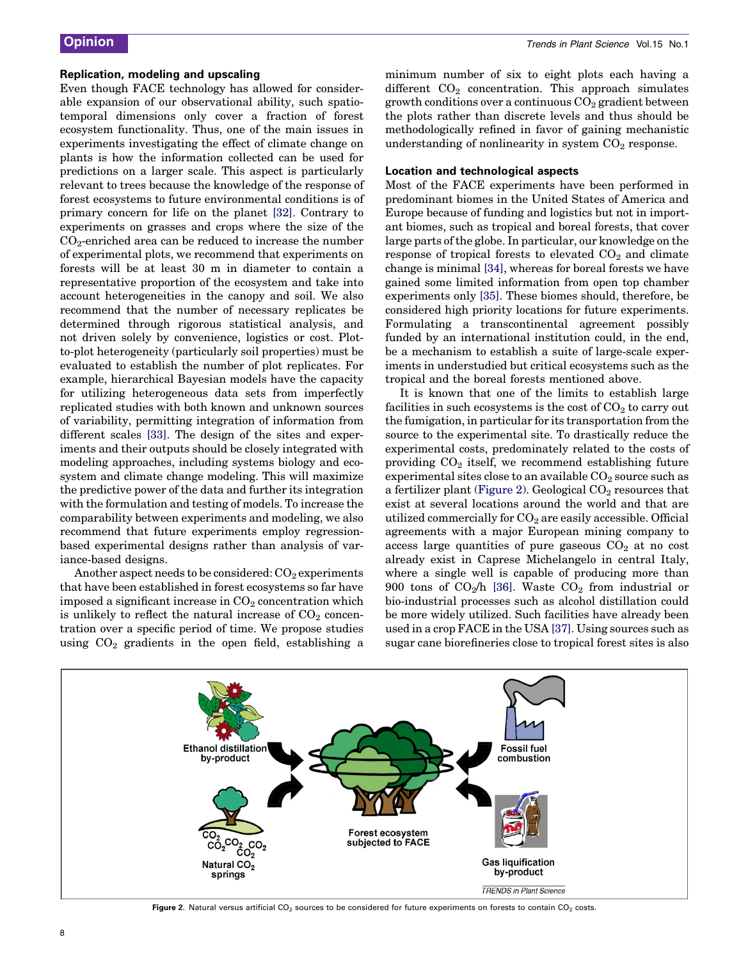#### Replication, modeling and upscaling

Even though FACE technology has allowed for considerable expansion of our observational ability, such spatiotemporal dimensions only cover a fraction of forest ecosystem functionality. Thus, one of the main issues in experiments investigating the effect of climate change on plants is how the information collected can be used for predictions on a larger scale. This aspect is particularly relevant to trees because the knowledge of the response of forest ecosystems to future environmental conditions is of primary concern for life on the planet [\[32\].](#page-5-0) Contrary to experiments on grasses and crops where the size of the  $CO<sub>2</sub>$ -enriched area can be reduced to increase the number of experimental plots, we recommend that experiments on forests will be at least 30 m in diameter to contain a representative proportion of the ecosystem and take into account heterogeneities in the canopy and soil. We also recommend that the number of necessary replicates be determined through rigorous statistical analysis, and not driven solely by convenience, logistics or cost. Plotto-plot heterogeneity (particularly soil properties) must be evaluated to establish the number of plot replicates. For example, hierarchical Bayesian models have the capacity for utilizing heterogeneous data sets from imperfectly replicated studies with both known and unknown sources of variability, permitting integration of information from different scales [\[33\].](#page-5-0) The design of the sites and experiments and their outputs should be closely integrated with modeling approaches, including systems biology and ecosystem and climate change modeling. This will maximize the predictive power of the data and further its integration with the formulation and testing of models. To increase the comparability between experiments and modeling, we also recommend that future experiments employ regressionbased experimental designs rather than analysis of variance-based designs.

Another aspect needs to be considered:  $CO<sub>2</sub>$  experiments that have been established in forest ecosystems so far have imposed a significant increase in  $CO<sub>2</sub>$  concentration which is unlikely to reflect the natural increase of  $CO<sub>2</sub>$  concentration over a specific period of time. We propose studies using  $CO<sub>2</sub>$  gradients in the open field, establishing a

minimum number of six to eight plots each having a different  $CO<sub>2</sub>$  concentration. This approach simulates growth conditions over a continuous  $CO<sub>2</sub>$  gradient between the plots rather than discrete levels and thus should be methodologically refined in favor of gaining mechanistic understanding of nonlinearity in system  $CO<sub>2</sub>$  response.

#### Location and technological aspects

Most of the FACE experiments have been performed in predominant biomes in the United States of America and Europe because of funding and logistics but not in important biomes, such as tropical and boreal forests, that cover large parts of the globe. In particular, our knowledge on the response of tropical forests to elevated  $CO<sub>2</sub>$  and climate change is minimal [\[34\]](#page-5-0), whereas for boreal forests we have gained some limited information from open top chamber experiments only [\[35\]](#page-5-0). These biomes should, therefore, be considered high priority locations for future experiments. Formulating a transcontinental agreement possibly funded by an international institution could, in the end, be a mechanism to establish a suite of large-scale experiments in understudied but critical ecosystems such as the tropical and the boreal forests mentioned above.

It is known that one of the limits to establish large facilities in such ecosystems is the cost of  $CO<sub>2</sub>$  to carry out the fumigation, in particular for its transportation from the source to the experimental site. To drastically reduce the experimental costs, predominately related to the costs of providing  $CO<sub>2</sub>$  itself, we recommend establishing future experimental sites close to an available  $CO<sub>2</sub>$  source such as a fertilizer plant (Figure 2). Geological  $CO<sub>2</sub>$  resources that exist at several locations around the world and that are utilized commercially for  $CO<sub>2</sub>$  are easily accessible. Official agreements with a major European mining company to access large quantities of pure gaseous  $CO<sub>2</sub>$  at no cost already exist in Caprese Michelangelo in central Italy, where a single well is capable of producing more than 900 tons of  $CO<sub>2</sub>/h$  [\[36\].](#page-5-0) Waste  $CO<sub>2</sub>$  from industrial or bio-industrial processes such as alcohol distillation could be more widely utilized. Such facilities have already been used in a crop FACE in the USA [\[37\]](#page-5-0). Using sources such as sugar cane biorefineries close to tropical forest sites is also



Figure 2. Natural versus artificial  $CO_2$  sources to be considered for future experiments on forests to contain  $CO_2$  costs.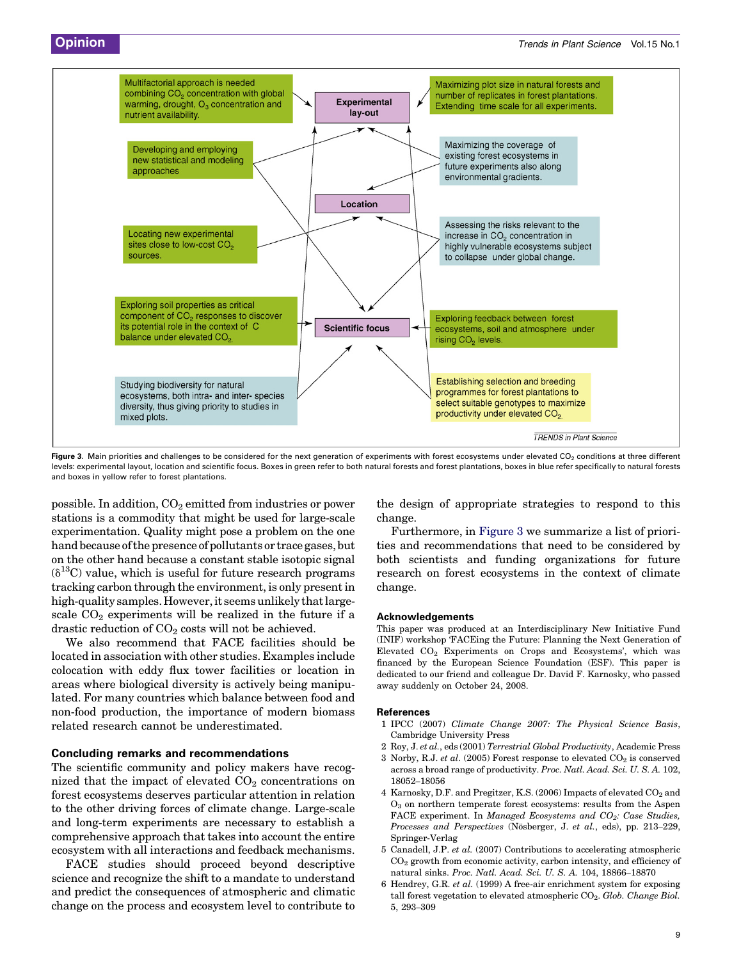<span id="page-4-0"></span>

Figure 3. Main priorities and challenges to be considered for the next generation of experiments with forest ecosystems under elevated CO<sub>2</sub> conditions at three different levels: experimental layout, location and scientific focus. Boxes in green refer to both natural forests and forest plantations, boxes in blue refer specifically to natural forests and boxes in yellow refer to forest plantations.

possible. In addition,  $CO<sub>2</sub>$  emitted from industries or power stations is a commodity that might be used for large-scale experimentation. Quality might pose a problem on the one hand because of the presence of pollutants or trace gases, but on the other hand because a constant stable isotopic signal  $(\delta^{13}C)$  value, which is useful for future research programs tracking carbon through the environment, is only present in high-quality samples. However, it seems unlikely that largescale  $CO<sub>2</sub>$  experiments will be realized in the future if a drastic reduction of  $CO<sub>2</sub>$  costs will not be achieved.

We also recommend that FACE facilities should be located in association with other studies. Examples include colocation with eddy flux tower facilities or location in areas where biological diversity is actively being manipulated. For many countries which balance between food and non-food production, the importance of modern biomass related research cannot be underestimated.

#### Concluding remarks and recommendations

The scientific community and policy makers have recognized that the impact of elevated  $CO<sub>2</sub>$  concentrations on forest ecosystems deserves particular attention in relation to the other driving forces of climate change. Large-scale and long-term experiments are necessary to establish a comprehensive approach that takes into account the entire ecosystem with all interactions and feedback mechanisms.

FACE studies should proceed beyond descriptive science and recognize the shift to a mandate to understand and predict the consequences of atmospheric and climatic change on the process and ecosystem level to contribute to

the design of appropriate strategies to respond to this change.

Furthermore, in Figure 3 we summarize a list of priorities and recommendations that need to be considered by both scientists and funding organizations for future research on forest ecosystems in the context of climate change.

#### Acknowledgements

This paper was produced at an Interdisciplinary New Initiative Fund (INIF) workshop 'FACEing the Future: Planning the Next Generation of Elevated CO2 Experiments on Crops and Ecosystems', which was financed by the European Science Foundation (ESF). This paper is dedicated to our friend and colleague Dr. David F. Karnosky, who passed away suddenly on October 24, 2008.

#### References

- 1 IPCC (2007) Climate Change 2007: The Physical Science Basis, Cambridge University Press
- 2 Roy, J. et al., eds (2001) Terrestrial Global Productivity, Academic Press
- 3 Norby, R.J. et al. (2005) Forest response to elevated  $CO<sub>2</sub>$  is conserved across a broad range of productivity. Proc. Natl. Acad. Sci. U. S. A. 102, 18052–18056
- 4 Karnosky, D.F. and Pregitzer, K.S. (2006) Impacts of elevated CO<sub>2</sub> and  $\Omega_2$  on northern temperate forest ecosystems: results from the Aspen FACE experiment. In Managed Ecosystems and  $CO_2$ : Case Studies, Processes and Perspectives (Nösberger, J. et al., eds), pp. 213-229, Springer-Verlag
- 5 Canadell, J.P. et al. (2007) Contributions to accelerating atmospheric  $CO<sub>2</sub>$  growth from economic activity, carbon intensity, and efficiency of natural sinks. Proc. Natl. Acad. Sci. U. S. A. 104, 18866–18870
- 6 Hendrey, G.R. et al. (1999) A free-air enrichment system for exposing tall forest vegetation to elevated atmospheric  $CO<sub>2</sub>$ . Glob. Change Biol. 5, 293–309